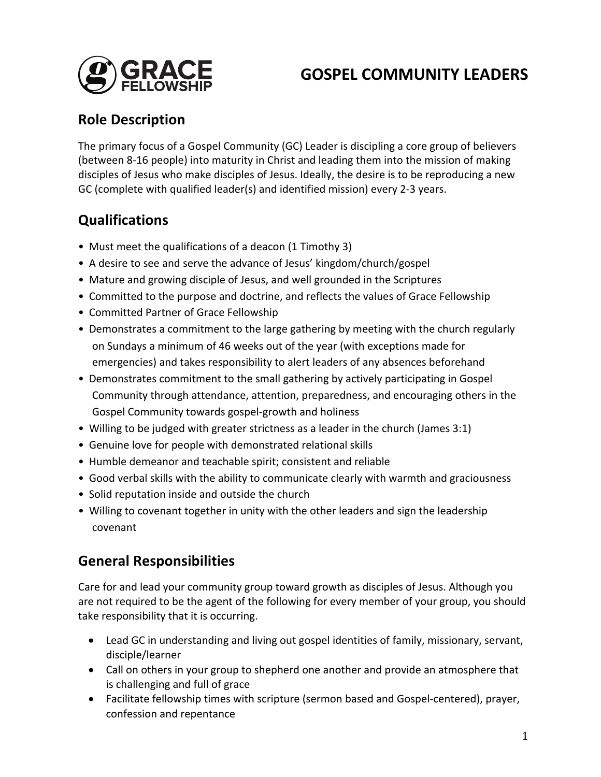

# **GOSPEL COMMUNITY LEADERS**

## **Role Description**

The primary focus of a Gospel Community (GC) Leader is discipling a core group of believers (between 8-16 people) into maturity in Christ and leading them into the mission of making disciples of Jesus who make disciples of Jesus. Ideally, the desire is to be reproducing a new GC (complete with qualified leader(s) and identified mission) every 2-3 years.

## **Qualifications**

- Must meet the qualifications of a deacon (1 Timothy 3)
- A desire to see and serve the advance of Jesus' kingdom/church/gospel
- Mature and growing disciple of Jesus, and well grounded in the Scriptures
- Committed to the purpose and doctrine, and reflects the values of Grace Fellowship
- Committed Partner of Grace Fellowship
- Demonstrates a commitment to the large gathering by meeting with the church regularly on Sundays a minimum of 46 weeks out of the year (with exceptions made for emergencies) and takes responsibility to alert leaders of any absences beforehand
- Demonstrates commitment to the small gathering by actively participating in Gospel Community through attendance, attention, preparedness, and encouraging others in the Gospel Community towards gospel-growth and holiness
- Willing to be judged with greater strictness as a leader in the church (James 3:1)
- Genuine love for people with demonstrated relational skills
- Humble demeanor and teachable spirit; consistent and reliable
- Good verbal skills with the ability to communicate clearly with warmth and graciousness
- Solid reputation inside and outside the church
- Willing to covenant together in unity with the other leaders and sign the leadership covenant

## **General Responsibilities**

Care for and lead your community group toward growth as disciples of Jesus. Although you are not required to be the agent of the following for every member of your group, you should take responsibility that it is occurring.

- Lead GC in understanding and living out gospel identities of family, missionary, servant, disciple/learner
- Call on others in your group to shepherd one another and provide an atmosphere that is challenging and full of grace
- Facilitate fellowship times with scripture (sermon based and Gospel-centered), prayer, confession and repentance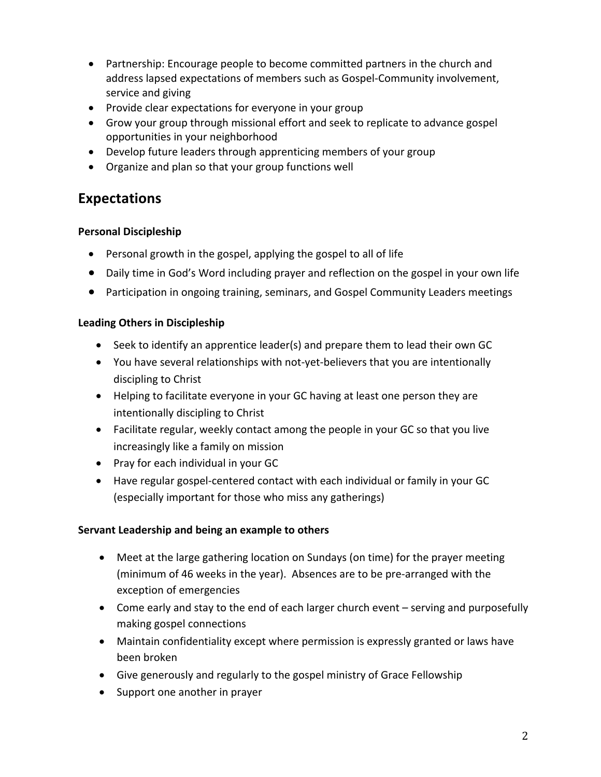- Partnership: Encourage people to become committed partners in the church and address lapsed expectations of members such as Gospel-Community involvement, service and giving
- Provide clear expectations for everyone in your group
- Grow your group through missional effort and seek to replicate to advance gospel opportunities in your neighborhood
- Develop future leaders through apprenticing members of your group
- Organize and plan so that your group functions well

### **Expectations**

### **Personal Discipleship**

- Personal growth in the gospel, applying the gospel to all of life
- Daily time in God's Word including prayer and reflection on the gospel in your own life
- Participation in ongoing training, seminars, and Gospel Community Leaders meetings

### **Leading Others in Discipleship**

- Seek to identify an apprentice leader(s) and prepare them to lead their own GC
- You have several relationships with not-yet-believers that you are intentionally discipling to Christ
- Helping to facilitate everyone in your GC having at least one person they are intentionally discipling to Christ
- Facilitate regular, weekly contact among the people in your GC so that you live increasingly like a family on mission
- Pray for each individual in your GC
- Have regular gospel-centered contact with each individual or family in your GC (especially important for those who miss any gatherings)

### **Servant Leadership and being an example to others**

- Meet at the large gathering location on Sundays (on time) for the prayer meeting (minimum of 46 weeks in the year). Absences are to be pre-arranged with the exception of emergencies
- Come early and stay to the end of each larger church event serving and purposefully making gospel connections
- Maintain confidentiality except where permission is expressly granted or laws have been broken
- Give generously and regularly to the gospel ministry of Grace Fellowship
- Support one another in prayer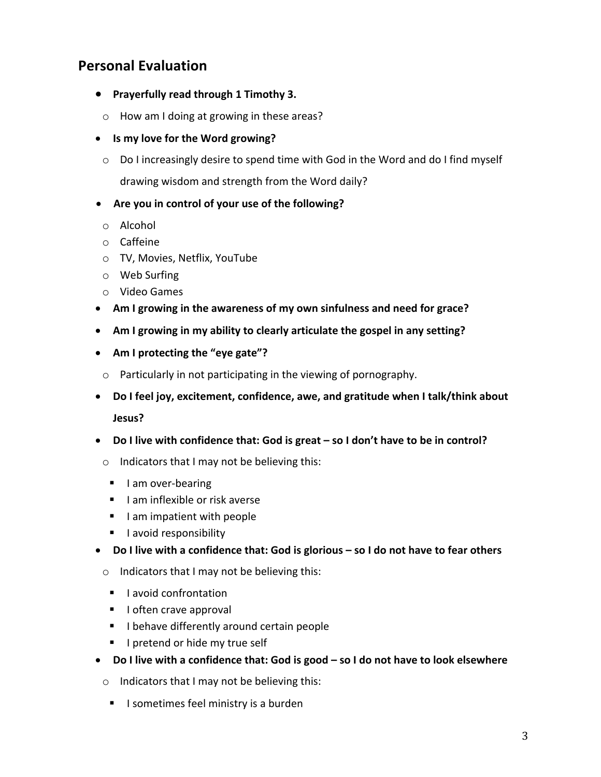### **Personal Evaluation**

- **•** Prayerfully read through 1 Timothy 3.
	- $\circ$  How am I doing at growing in these areas?
- Is my love for the Word growing?
	- $\circ$  Do I increasingly desire to spend time with God in the Word and do I find myself drawing wisdom and strength from the Word daily?
- Are you in control of your use of the following?
- o Alcohol
- o Caffeine
- o TV, Movies, Netflix, YouTube
- o Web Surfing
- o Video Games
- Am I growing in the awareness of my own sinfulness and need for grace?
- Am I growing in my ability to clearly articulate the gospel in any setting?
- Am I protecting the "eye gate"?
- $\circ$  Particularly in not participating in the viewing of pornography.
- Do I feel joy, excitement, confidence, awe, and gratitude when I talk/think about **Jesus?**
- Do I live with confidence that: God is great so I don't have to be in control?
	- $\circ$  Indicators that I may not be believing this:
		- I am over-bearing
		- $\blacksquare$  I am inflexible or risk averse
		- $\blacksquare$  I am impatient with people
		- **E** lavoid responsibility
- Do I live with a confidence that: God is glorious so I do not have to fear others
	- $\circ$  Indicators that I may not be believing this:
		- lavoid confrontation
		- **I** loften crave approval
		- I behave differently around certain people
		- **I** I pretend or hide my true self
- Do I live with a confidence that: God is good so I do not have to look elsewhere
	- $\circ$  Indicators that I may not be believing this:
		- I sometimes feel ministry is a burden